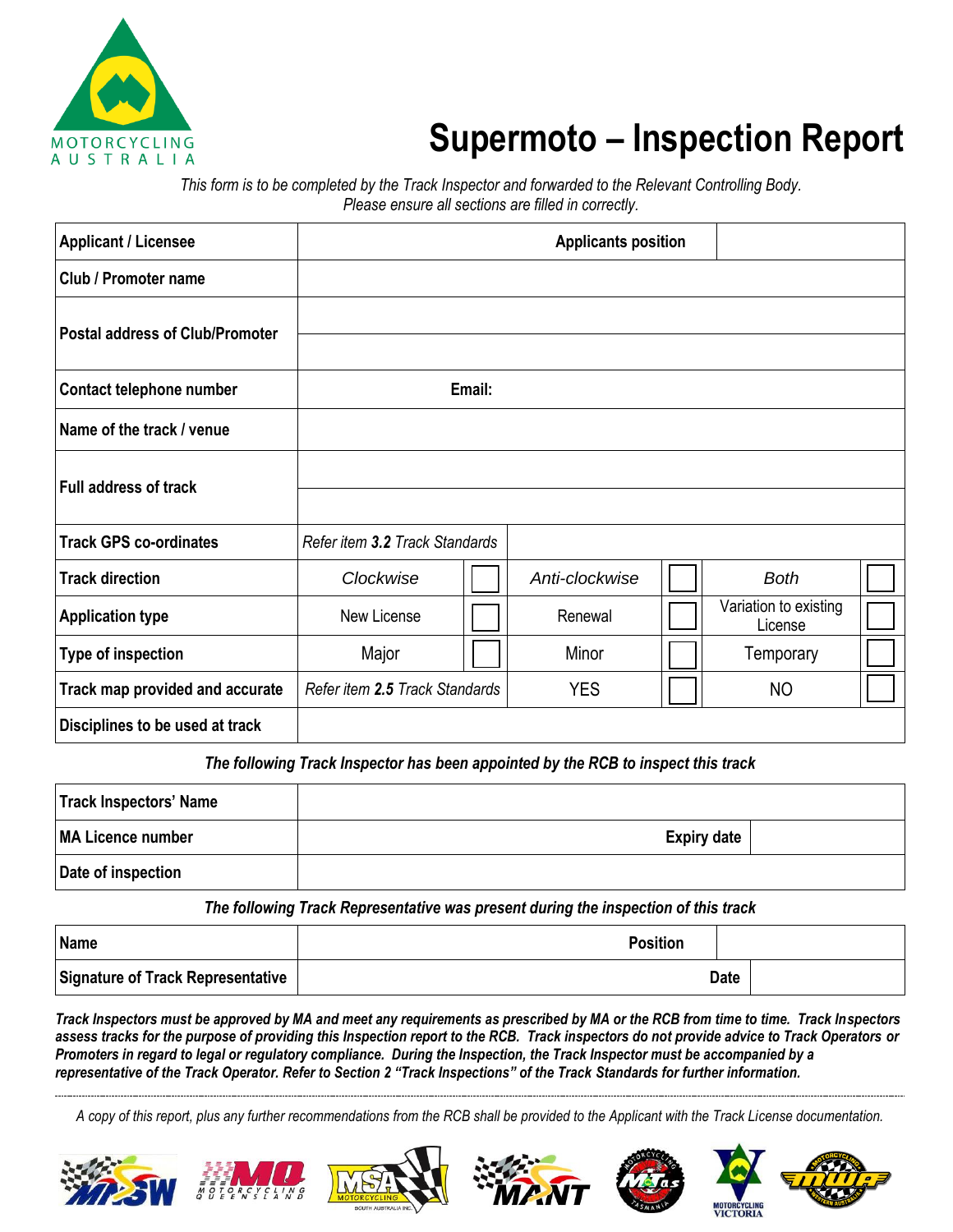

## **Supermoto – Inspection Report**

*This form is to be completed by the Track Inspector and forwarded to the Relevant Controlling Body. Please ensure all sections are filled in correctly.*

| <b>Applicant / Licensee</b>            |                                |        | <b>Applicants position</b> |                                  |  |
|----------------------------------------|--------------------------------|--------|----------------------------|----------------------------------|--|
| Club / Promoter name                   |                                |        |                            |                                  |  |
| <b>Postal address of Club/Promoter</b> |                                |        |                            |                                  |  |
| Contact telephone number               |                                | Email: |                            |                                  |  |
| Name of the track / venue              |                                |        |                            |                                  |  |
| <b>Full address of track</b>           |                                |        |                            |                                  |  |
| <b>Track GPS co-ordinates</b>          | Refer item 3.2 Track Standards |        |                            |                                  |  |
| <b>Track direction</b>                 | Clockwise                      |        | Anti-clockwise             | <b>Both</b>                      |  |
| <b>Application type</b>                | New License                    |        | Renewal                    | Variation to existing<br>License |  |
| Type of inspection                     | Major                          |        | Minor                      | Temporary                        |  |
| Track map provided and accurate        | Refer item 2.5 Track Standards |        | <b>YES</b>                 | <b>NO</b>                        |  |
| Disciplines to be used at track        |                                |        |                            |                                  |  |

The following Track Inspector has been appointed by the RCB to inspect this track

| Track Inspectors' Name |                    |  |
|------------------------|--------------------|--|
| MA Licence number      | <b>Expiry date</b> |  |
| Date of inspection     |                    |  |

*The following Track Representative was present during the inspection of this track*

| Name                                     | <b>Position</b> |             |
|------------------------------------------|-----------------|-------------|
| <b>Signature of Track Representative</b> |                 | <b>Date</b> |

*Track Inspectors must be approved by MA and meet any requirements as prescribed by MA or the RCB from time to time. Track Inspectors assess tracks for the purpose of providing this Inspection report to the RCB. Track inspectors do not provide advice to Track Operators or Promoters in regard to legal or regulatory compliance. During the Inspection, the Track Inspector must be accompanied by a representative of the Track Operator. Refer to Section 2 "Track Inspections" of the Track Standards for further information.*

*A copy of this report, plus any further recommendations from the RCB shall be provided to the Applicant with the Track License documentation.*











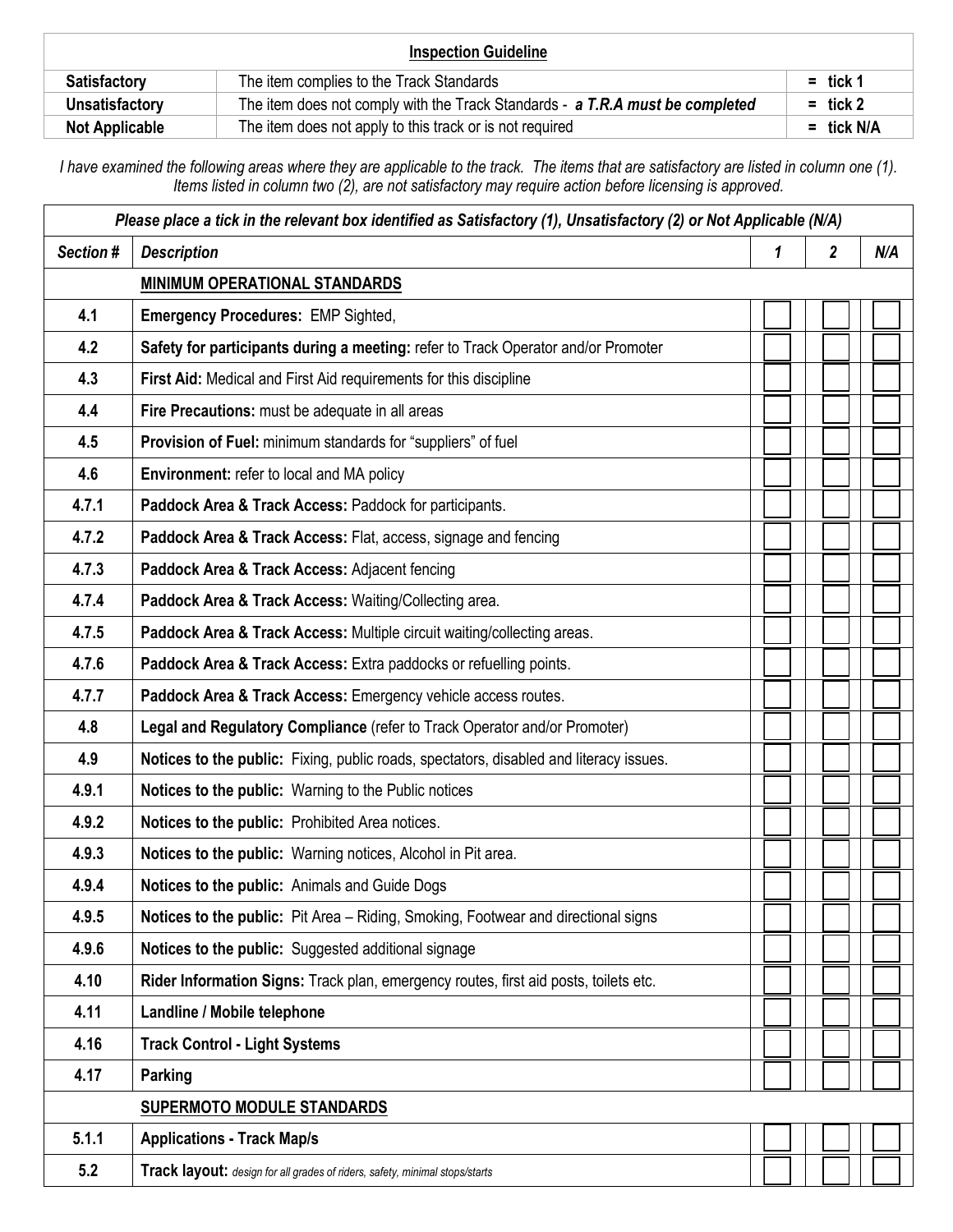| <b>Inspection Guideline</b> |                                                                               |              |  |  |
|-----------------------------|-------------------------------------------------------------------------------|--------------|--|--|
| <b>Satisfactory</b>         | The item complies to the Track Standards                                      | $=$ tick 1   |  |  |
| Unsatisfactory              | The item does not comply with the Track Standards - a T.R.A must be completed | $=$ tick 2   |  |  |
| <b>Not Applicable</b>       | The item does not apply to this track or is not required                      | $=$ tick N/A |  |  |

*I have examined the following areas where they are applicable to the track. The items that are satisfactory are listed in column one (1). Items listed in column two (2), are not satisfactory may require action before licensing is approved.*

| Please place a tick in the relevant box identified as Satisfactory (1), Unsatisfactory (2) or Not Applicable (N/A) |                                                                                        |   |                  |     |
|--------------------------------------------------------------------------------------------------------------------|----------------------------------------------------------------------------------------|---|------------------|-----|
| Section #                                                                                                          | <b>Description</b>                                                                     | 1 | $\boldsymbol{2}$ | N/A |
|                                                                                                                    | <b>MINIMUM OPERATIONAL STANDARDS</b>                                                   |   |                  |     |
| 4.1                                                                                                                | <b>Emergency Procedures: EMP Sighted,</b>                                              |   |                  |     |
| 4.2                                                                                                                | Safety for participants during a meeting: refer to Track Operator and/or Promoter      |   |                  |     |
| 4.3                                                                                                                | First Aid: Medical and First Aid requirements for this discipline                      |   |                  |     |
| 4.4                                                                                                                | Fire Precautions: must be adequate in all areas                                        |   |                  |     |
| 4.5                                                                                                                | Provision of Fuel: minimum standards for "suppliers" of fuel                           |   |                  |     |
| 4.6                                                                                                                | Environment: refer to local and MA policy                                              |   |                  |     |
| 4.7.1                                                                                                              | Paddock Area & Track Access: Paddock for participants.                                 |   |                  |     |
| 4.7.2                                                                                                              | Paddock Area & Track Access: Flat, access, signage and fencing                         |   |                  |     |
| 4.7.3                                                                                                              | Paddock Area & Track Access: Adjacent fencing                                          |   |                  |     |
| 4.7.4                                                                                                              | Paddock Area & Track Access: Waiting/Collecting area.                                  |   |                  |     |
| 4.7.5                                                                                                              | Paddock Area & Track Access: Multiple circuit waiting/collecting areas.                |   |                  |     |
| 4.7.6                                                                                                              | Paddock Area & Track Access: Extra paddocks or refuelling points.                      |   |                  |     |
| 4.7.7                                                                                                              | Paddock Area & Track Access: Emergency vehicle access routes.                          |   |                  |     |
| 4.8                                                                                                                | Legal and Regulatory Compliance (refer to Track Operator and/or Promoter)              |   |                  |     |
| 4.9                                                                                                                | Notices to the public: Fixing, public roads, spectators, disabled and literacy issues. |   |                  |     |
| 4.9.1                                                                                                              | Notices to the public: Warning to the Public notices                                   |   |                  |     |
| 4.9.2                                                                                                              | Notices to the public: Prohibited Area notices.                                        |   |                  |     |
| 4.9.3                                                                                                              | Notices to the public: Warning notices, Alcohol in Pit area.                           |   |                  |     |
| 4.9.4                                                                                                              | Notices to the public: Animals and Guide Dogs                                          |   |                  |     |
| 4.9.5                                                                                                              | Notices to the public: Pit Area - Riding, Smoking, Footwear and directional signs      |   |                  |     |
| 4.9.6                                                                                                              | Notices to the public: Suggested additional signage                                    |   |                  |     |
| 4.10                                                                                                               | Rider Information Signs: Track plan, emergency routes, first aid posts, toilets etc.   |   |                  |     |
| 4.11                                                                                                               | Landline / Mobile telephone                                                            |   |                  |     |
| 4.16                                                                                                               | <b>Track Control - Light Systems</b>                                                   |   |                  |     |
| 4.17                                                                                                               | Parking                                                                                |   |                  |     |
|                                                                                                                    | <b>SUPERMOTO MODULE STANDARDS</b>                                                      |   |                  |     |
| 5.1.1                                                                                                              | <b>Applications - Track Map/s</b>                                                      |   |                  |     |
| 5.2                                                                                                                | Track layout: design for all grades of riders, safety, minimal stops/starts            |   |                  |     |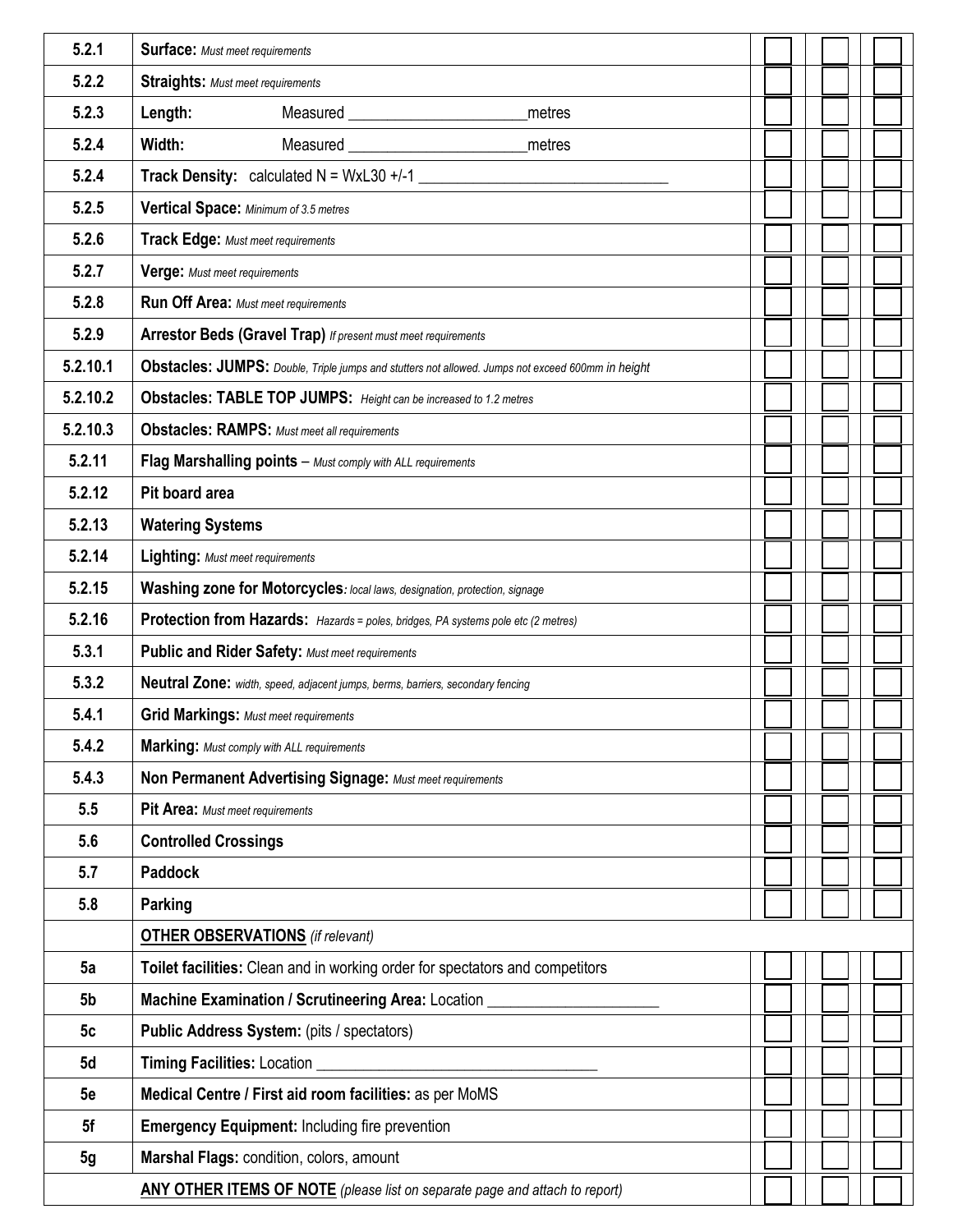| 5.2.1          | <b>Surface:</b> Must meet requirements                                                            |  |  |  |  |
|----------------|---------------------------------------------------------------------------------------------------|--|--|--|--|
| 5.2.2          | <b>Straights: Must meet requirements</b>                                                          |  |  |  |  |
| 5.2.3          | Length:<br>Measured <u>example</u><br>metres                                                      |  |  |  |  |
| 5.2.4          | Width:<br>Measured<br>metres                                                                      |  |  |  |  |
| 5.2.4          | <b>Track Density:</b> calculated $N = WxL30 + (-1)$                                               |  |  |  |  |
| 5.2.5          | Vertical Space: Minimum of 3.5 metres                                                             |  |  |  |  |
| 5.2.6          | <b>Track Edge: Must meet requirements</b>                                                         |  |  |  |  |
| 5.2.7          | Verge: Must meet requirements                                                                     |  |  |  |  |
| 5.2.8          | <b>Run Off Area: Must meet requirements</b>                                                       |  |  |  |  |
| 5.2.9          | <b>Arrestor Beds (Gravel Trap)</b> If present must meet requirements                              |  |  |  |  |
| 5.2.10.1       | Obstacles: JUMPS: Double, Triple jumps and stutters not allowed. Jumps not exceed 600mm in height |  |  |  |  |
| 5.2.10.2       | Obstacles: TABLE TOP JUMPS: Height can be increased to 1.2 metres                                 |  |  |  |  |
| 5.2.10.3       | <b>Obstacles: RAMPS:</b> Must meet all requirements                                               |  |  |  |  |
| 5.2.11         | Flag Marshalling points - Must comply with ALL requirements                                       |  |  |  |  |
| 5.2.12         | Pit board area                                                                                    |  |  |  |  |
| 5.2.13         | <b>Watering Systems</b>                                                                           |  |  |  |  |
| 5.2.14         | <b>Lighting: Must meet requirements</b>                                                           |  |  |  |  |
| 5.2.15         | Washing zone for Motorcycles: local laws, designation, protection, signage                        |  |  |  |  |
| 5.2.16         | Protection from Hazards: Hazards = poles, bridges, PA systems pole etc (2 metres)                 |  |  |  |  |
| 5.3.1          | Public and Rider Safety: Must meet requirements                                                   |  |  |  |  |
| 5.3.2          | Neutral Zone: width, speed, adjacent jumps, berms, barriers, secondary fencing                    |  |  |  |  |
| 5.4.1          | <b>Grid Markings: Must meet requirements</b>                                                      |  |  |  |  |
| 5.4.2          | <b>Marking:</b> Must comply with ALL requirements                                                 |  |  |  |  |
| 5.4.3          | Non Permanent Advertising Signage: Must meet requirements                                         |  |  |  |  |
| 5.5            | Pit Area: Must meet requirements                                                                  |  |  |  |  |
| 5.6            | <b>Controlled Crossings</b>                                                                       |  |  |  |  |
| 5.7            | <b>Paddock</b>                                                                                    |  |  |  |  |
| 5.8            | Parking                                                                                           |  |  |  |  |
|                | <b>OTHER OBSERVATIONS</b> (if relevant)                                                           |  |  |  |  |
| 5a             | Toilet facilities: Clean and in working order for spectators and competitors                      |  |  |  |  |
| 5b             | Machine Examination / Scrutineering Area: Location ______                                         |  |  |  |  |
| 5c             | Public Address System: (pits / spectators)                                                        |  |  |  |  |
| 5d             | Timing Facilities: Location                                                                       |  |  |  |  |
| 5e             | Medical Centre / First aid room facilities: as per MoMS                                           |  |  |  |  |
| 5f             | <b>Emergency Equipment: Including fire prevention</b>                                             |  |  |  |  |
| 5 <sub>g</sub> | Marshal Flags: condition, colors, amount                                                          |  |  |  |  |
|                | <b>ANY OTHER ITEMS OF NOTE</b> (please list on separate page and attach to report)                |  |  |  |  |